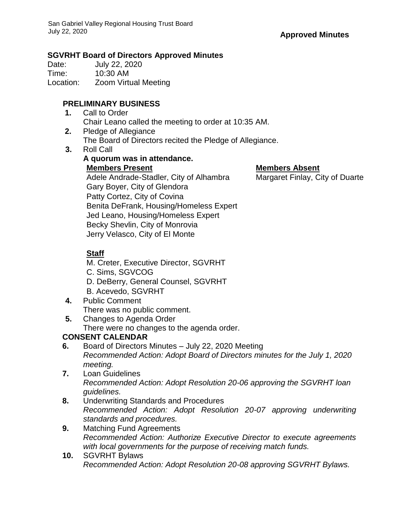## **SGVRHT Board of Directors Approved Minutes**

Date: July 22, 2020 Time: 10:30 AM Location: Zoom Virtual Meeting

## **PRELIMINARY BUSINESS**

- **1.** Call to Order Chair Leano called the meeting to order at 10:35 AM.
- **2.** Pledge of Allegiance The Board of Directors recited the Pledge of Allegiance.
- **3.** Roll Call

## **A quorum was in attendance. Members Present Members Absent** Adele Andrade-Stadler, City of Alhambra Margaret Finlay, City of Duarte Gary Boyer, City of Glendora Patty Cortez, City of Covina Benita DeFrank, Housing/Homeless Expert Jed Leano, Housing/Homeless Expert

Becky Shevlin, City of Monrovia

Jerry Velasco, City of El Monte

# **Staff**

- M. Creter, Executive Director, SGVRHT
- C. Sims, SGVCOG
- D. DeBerry, General Counsel, SGVRHT
- B. Acevedo, SGVRHT
- **4.** Public Comment There was no public comment.
- **5.** Changes to Agenda Order

There were no changes to the agenda order.

## **CONSENT CALENDAR**

- **6.** Board of Directors Minutes July 22, 2020 Meeting *Recommended Action: Adopt Board of Directors minutes for the July 1, 2020 meeting.*
- **7.** Loan Guidelines *Recommended Action: Adopt Resolution 20-06 approving the SGVRHT loan guidelines.*
- **8.** Underwriting Standards and Procedures *Recommended Action: Adopt Resolution 20-07 approving underwriting standards and procedures.*
- **9.** Matching Fund Agreements *Recommended Action: Authorize Executive Director to execute agreements with local governments for the purpose of receiving match funds.*
- **10.** SGVRHT Bylaws *Recommended Action: Adopt Resolution 20-08 approving SGVRHT Bylaws.*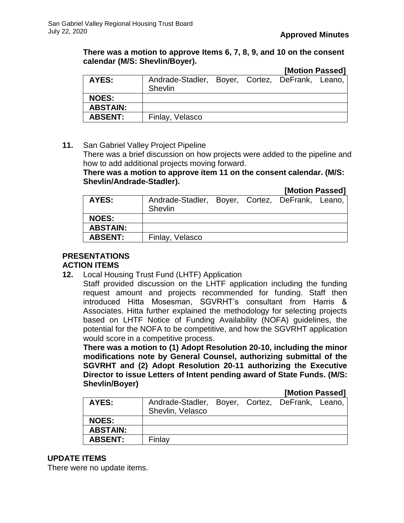#### **There was a motion to approve Items 6, 7, 8, 9, and 10 on the consent calendar (M/S: Shevlin/Boyer).**

|                 |                                                            |  | [Motion Passed] |  |  |
|-----------------|------------------------------------------------------------|--|-----------------|--|--|
| AYES:           | Andrade-Stadler, Boyer, Cortez, DeFrank, Leano,<br>Shevlin |  |                 |  |  |
| <b>NOES:</b>    |                                                            |  |                 |  |  |
| <b>ABSTAIN:</b> |                                                            |  |                 |  |  |
| <b>ABSENT:</b>  | Finlay, Velasco                                            |  |                 |  |  |

## **11.** San Gabriel Valley Project Pipeline

There was a brief discussion on how projects were added to the pipeline and how to add additional projects moving forward.

## **There was a motion to approve item 11 on the consent calendar. (M/S: Shevlin/Andrade-Stadler).**

#### **[Motion Passed]**

| AYES:           | Andrade-Stadler, Boyer, Cortez, DeFrank, Leano,<br>Shevlin |  |  |  |  |
|-----------------|------------------------------------------------------------|--|--|--|--|
| <b>NOES:</b>    |                                                            |  |  |  |  |
| <b>ABSTAIN:</b> |                                                            |  |  |  |  |
| <b>ABSENT:</b>  | Finlay, Velasco                                            |  |  |  |  |
|                 |                                                            |  |  |  |  |

## **PRESENTATIONS**

## **ACTION ITEMS**

**12.** Local Housing Trust Fund (LHTF) Application

Staff provided discussion on the LHTF application including the funding request amount and projects recommended for funding. Staff then introduced Hitta Mosesman, SGVRHT's consultant from Harris & Associates. Hitta further explained the methodology for selecting projects based on LHTF Notice of Funding Availability (NOFA) guidelines, the potential for the NOFA to be competitive, and how the SGVRHT application would score in a competitive process.

**There was a motion to (1) Adopt Resolution 20-10, including the minor modifications note by General Counsel, authorizing submittal of the SGVRHT and (2) Adopt Resolution 20-11 authorizing the Executive Director to issue Letters of Intent pending award of State Funds. (M/S: Shevlin/Boyer)**

#### **[Motion Passed]**

| AYES:           | Andrade-Stadler, Boyer, Cortez, DeFrank, Leano,<br>Shevlin, Velasco |  |  |
|-----------------|---------------------------------------------------------------------|--|--|
| <b>NOES:</b>    |                                                                     |  |  |
| <b>ABSTAIN:</b> |                                                                     |  |  |
| <b>ABSENT:</b>  | Finlay                                                              |  |  |

## **UPDATE ITEMS**

There were no update items.